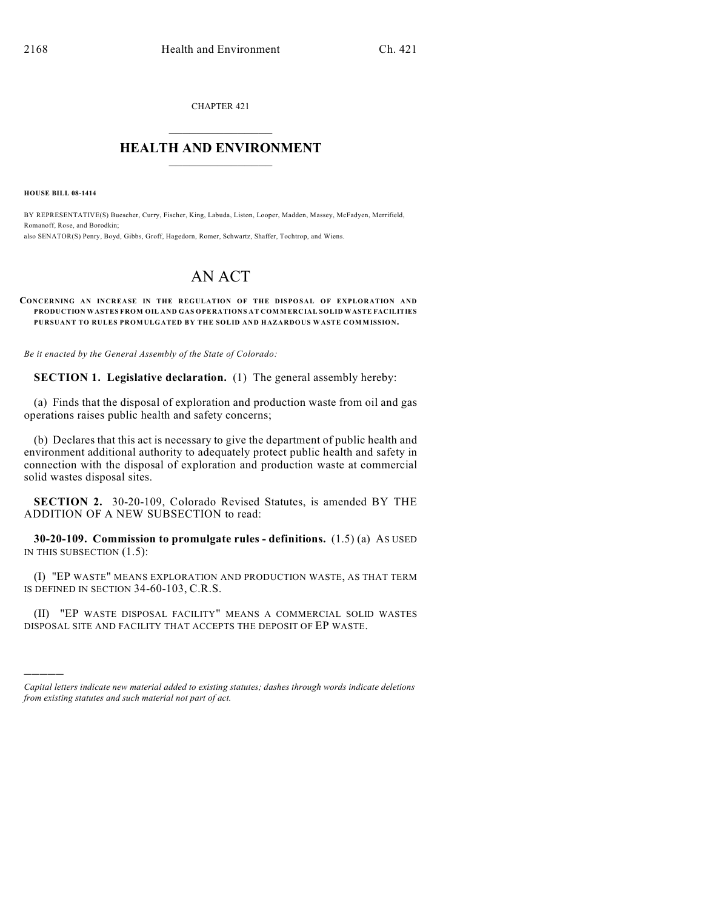CHAPTER 421  $\mathcal{L}_\text{max}$  . The set of the set of the set of the set of the set of the set of the set of the set of the set of the set of the set of the set of the set of the set of the set of the set of the set of the set of the set

## **HEALTH AND ENVIRONMENT**  $\_$

**HOUSE BILL 08-1414**

)))))

BY REPRESENTATIVE(S) Buescher, Curry, Fischer, King, Labuda, Liston, Looper, Madden, Massey, McFadyen, Merrifield, Romanoff, Rose, and Borodkin; also SENATOR(S) Penry, Boyd, Gibbs, Groff, Hagedorn, Romer, Schwartz, Shaffer, Tochtrop, and Wiens.

## AN ACT

## **CONCERNING AN INCREASE IN THE REGULATION OF THE DISPOSAL OF EXPLORATION AND PRODUCTION WASTES FROM OIL AND GAS OPERATIONS AT COMMERCIAL SOLID WASTE FACILITIES PURSUANT TO RULES PROMULGATED BY THE SOLID AND HAZARDOUS WASTE COMMISSION.**

*Be it enacted by the General Assembly of the State of Colorado:*

**SECTION 1. Legislative declaration.** (1) The general assembly hereby:

(a) Finds that the disposal of exploration and production waste from oil and gas operations raises public health and safety concerns;

(b) Declares that this act is necessary to give the department of public health and environment additional authority to adequately protect public health and safety in connection with the disposal of exploration and production waste at commercial solid wastes disposal sites.

**SECTION 2.** 30-20-109, Colorado Revised Statutes, is amended BY THE ADDITION OF A NEW SUBSECTION to read:

**30-20-109. Commission to promulgate rules - definitions.** (1.5) (a) AS USED IN THIS SUBSECTION (1.5):

(I) "EP WASTE" MEANS EXPLORATION AND PRODUCTION WASTE, AS THAT TERM IS DEFINED IN SECTION 34-60-103, C.R.S.

(II) "EP WASTE DISPOSAL FACILITY" MEANS A COMMERCIAL SOLID WASTES DISPOSAL SITE AND FACILITY THAT ACCEPTS THE DEPOSIT OF EP WASTE.

*Capital letters indicate new material added to existing statutes; dashes through words indicate deletions from existing statutes and such material not part of act.*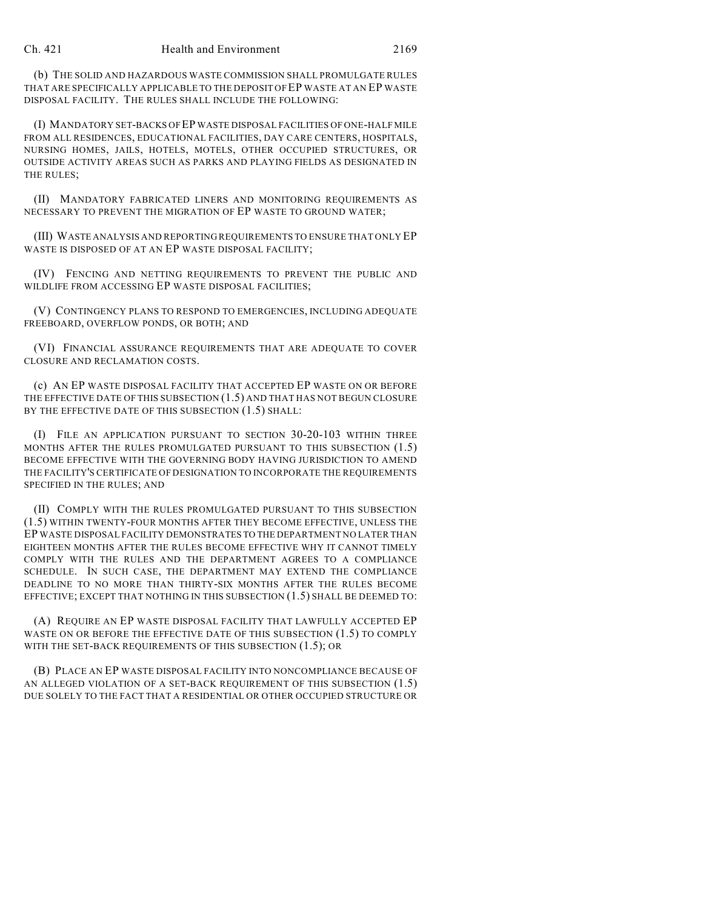(b) THE SOLID AND HAZARDOUS WASTE COMMISSION SHALL PROMULGATE RULES THAT ARE SPECIFICALLY APPLICABLE TO THE DEPOSIT OF EP WASTE AT AN EP WASTE DISPOSAL FACILITY. THE RULES SHALL INCLUDE THE FOLLOWING:

(I) MANDATORY SET-BACKS OF EP WASTE DISPOSAL FACILITIES OF ONE-HALF MILE FROM ALL RESIDENCES, EDUCATIONAL FACILITIES, DAY CARE CENTERS, HOSPITALS, NURSING HOMES, JAILS, HOTELS, MOTELS, OTHER OCCUPIED STRUCTURES, OR OUTSIDE ACTIVITY AREAS SUCH AS PARKS AND PLAYING FIELDS AS DESIGNATED IN THE RULES;

(II) MANDATORY FABRICATED LINERS AND MONITORING REQUIREMENTS AS NECESSARY TO PREVENT THE MIGRATION OF EP WASTE TO GROUND WATER;

(III) WASTE ANALYSIS AND REPORTING REQUIREMENTS TO ENSURE THAT ONLY EP WASTE IS DISPOSED OF AT AN EP WASTE DISPOSAL FACILITY;

(IV) FENCING AND NETTING REQUIREMENTS TO PREVENT THE PUBLIC AND WILDLIFE FROM ACCESSING EP WASTE DISPOSAL FACILITIES;

(V) CONTINGENCY PLANS TO RESPOND TO EMERGENCIES, INCLUDING ADEQUATE FREEBOARD, OVERFLOW PONDS, OR BOTH; AND

(VI) FINANCIAL ASSURANCE REQUIREMENTS THAT ARE ADEQUATE TO COVER CLOSURE AND RECLAMATION COSTS.

(c) AN EP WASTE DISPOSAL FACILITY THAT ACCEPTED EP WASTE ON OR BEFORE THE EFFECTIVE DATE OF THIS SUBSECTION (1.5) AND THAT HAS NOT BEGUN CLOSURE BY THE EFFECTIVE DATE OF THIS SUBSECTION  $(1.5)$  SHALL:

(I) FILE AN APPLICATION PURSUANT TO SECTION 30-20-103 WITHIN THREE MONTHS AFTER THE RULES PROMULGATED PURSUANT TO THIS SUBSECTION (1.5) BECOME EFFECTIVE WITH THE GOVERNING BODY HAVING JURISDICTION TO AMEND THE FACILITY'S CERTIFICATE OF DESIGNATION TO INCORPORATE THE REQUIREMENTS SPECIFIED IN THE RULES; AND

(II) COMPLY WITH THE RULES PROMULGATED PURSUANT TO THIS SUBSECTION (1.5) WITHIN TWENTY-FOUR MONTHS AFTER THEY BECOME EFFECTIVE, UNLESS THE EP WASTE DISPOSAL FACILITY DEMONSTRATES TO THE DEPARTMENT NO LATER THAN EIGHTEEN MONTHS AFTER THE RULES BECOME EFFECTIVE WHY IT CANNOT TIMELY COMPLY WITH THE RULES AND THE DEPARTMENT AGREES TO A COMPLIANCE SCHEDULE. IN SUCH CASE, THE DEPARTMENT MAY EXTEND THE COMPLIANCE DEADLINE TO NO MORE THAN THIRTY-SIX MONTHS AFTER THE RULES BECOME EFFECTIVE; EXCEPT THAT NOTHING IN THIS SUBSECTION (1.5) SHALL BE DEEMED TO:

(A) REQUIRE AN EP WASTE DISPOSAL FACILITY THAT LAWFULLY ACCEPTED EP WASTE ON OR BEFORE THE EFFECTIVE DATE OF THIS SUBSECTION (1.5) TO COMPLY WITH THE SET-BACK REQUIREMENTS OF THIS SUBSECTION (1.5); OR

(B) PLACE AN EP WASTE DISPOSAL FACILITY INTO NONCOMPLIANCE BECAUSE OF AN ALLEGED VIOLATION OF A SET-BACK REQUIREMENT OF THIS SUBSECTION (1.5) DUE SOLELY TO THE FACT THAT A RESIDENTIAL OR OTHER OCCUPIED STRUCTURE OR